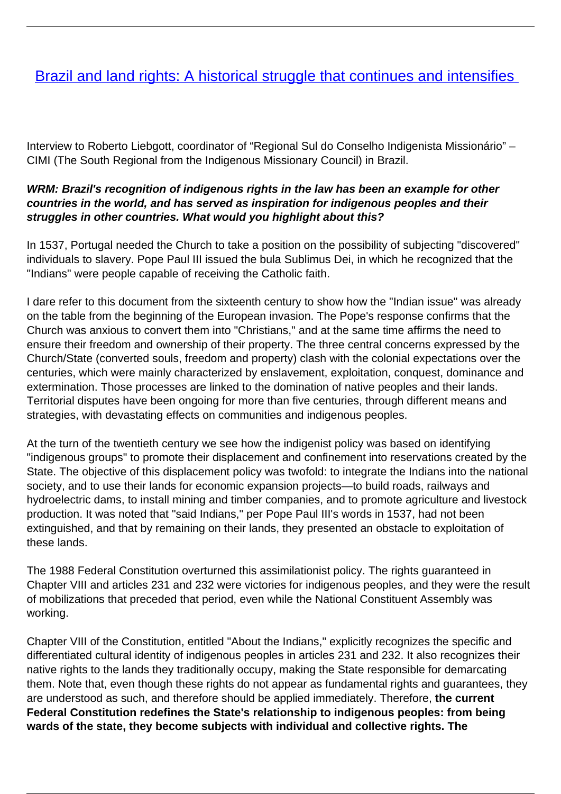# [Brazil and land rights: A historical struggle that continues and intensifies](/bulletin-articles/brazil-and-land-rights-a-historical-struggle-that-continues-and-intensifies)

Interview to Roberto Liebgott, coordinator of "Regional Sul do Conselho Indigenista Missionário" – CIMI (The South Regional from the Indigenous Missionary Council) in Brazil.

## **WRM: Brazil's recognition of indigenous rights in the law has been an example for other countries in the world, and has served as inspiration for indigenous peoples and their struggles in other countries. What would you highlight about this?**

In 1537, Portugal needed the Church to take a position on the possibility of subjecting "discovered" individuals to slavery. Pope Paul III issued the bula Sublimus Dei, in which he recognized that the "Indians" were people capable of receiving the Catholic faith.

I dare refer to this document from the sixteenth century to show how the "Indian issue" was already on the table from the beginning of the European invasion. The Pope's response confirms that the Church was anxious to convert them into "Christians," and at the same time affirms the need to ensure their freedom and ownership of their property. The three central concerns expressed by the Church/State (converted souls, freedom and property) clash with the colonial expectations over the centuries, which were mainly characterized by enslavement, exploitation, conquest, dominance and extermination. Those processes are linked to the domination of native peoples and their lands. Territorial disputes have been ongoing for more than five centuries, through different means and strategies, with devastating effects on communities and indigenous peoples.

At the turn of the twentieth century we see how the indigenist policy was based on identifying "indigenous groups" to promote their displacement and confinement into reservations created by the State. The objective of this displacement policy was twofold: to integrate the Indians into the national society, and to use their lands for economic expansion projects—to build roads, railways and hydroelectric dams, to install mining and timber companies, and to promote agriculture and livestock production. It was noted that "said Indians," per Pope Paul III's words in 1537, had not been extinguished, and that by remaining on their lands, they presented an obstacle to exploitation of these lands.

The 1988 Federal Constitution overturned this assimilationist policy. The rights guaranteed in Chapter VIII and articles 231 and 232 were victories for indigenous peoples, and they were the result of mobilizations that preceded that period, even while the National Constituent Assembly was working.

Chapter VIII of the Constitution, entitled "About the Indians," explicitly recognizes the specific and differentiated cultural identity of indigenous peoples in articles 231 and 232. It also recognizes their native rights to the lands they traditionally occupy, making the State responsible for demarcating them. Note that, even though these rights do not appear as fundamental rights and guarantees, they are understood as such, and therefore should be applied immediately. Therefore, **the current Federal Constitution redefines the State's relationship to indigenous peoples: from being wards of the state, they become subjects with individual and collective rights. The**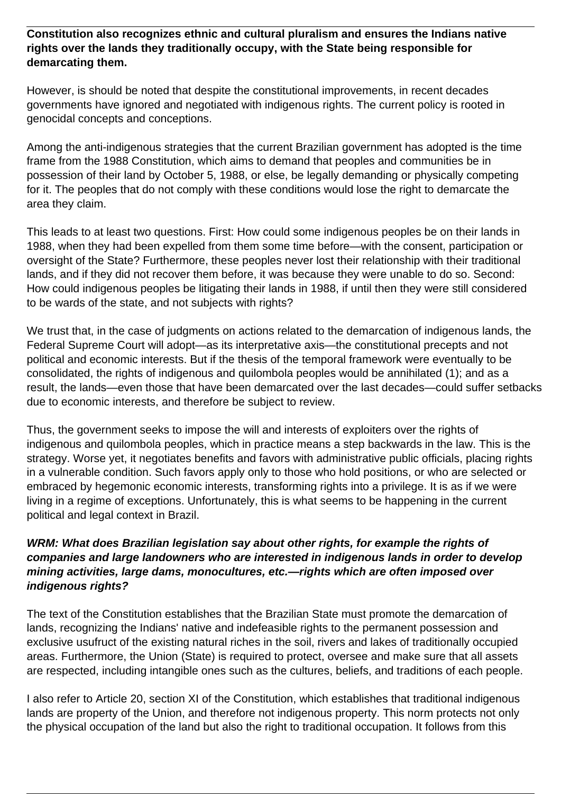#### **Constitution also recognizes ethnic and cultural pluralism and ensures the Indians native rights over the lands they traditionally occupy, with the State being responsible for demarcating them.**

However, is should be noted that despite the constitutional improvements, in recent decades governments have ignored and negotiated with indigenous rights. The current policy is rooted in genocidal concepts and conceptions.

Among the anti-indigenous strategies that the current Brazilian government has adopted is the time frame from the 1988 Constitution, which aims to demand that peoples and communities be in possession of their land by October 5, 1988, or else, be legally demanding or physically competing for it. The peoples that do not comply with these conditions would lose the right to demarcate the area they claim.

This leads to at least two questions. First: How could some indigenous peoples be on their lands in 1988, when they had been expelled from them some time before—with the consent, participation or oversight of the State? Furthermore, these peoples never lost their relationship with their traditional lands, and if they did not recover them before, it was because they were unable to do so. Second: How could indigenous peoples be litigating their lands in 1988, if until then they were still considered to be wards of the state, and not subjects with rights?

We trust that, in the case of judgments on actions related to the demarcation of indigenous lands, the Federal Supreme Court will adopt—as its interpretative axis—the constitutional precepts and not political and economic interests. But if the thesis of the temporal framework were eventually to be consolidated, the rights of indigenous and quilombola peoples would be annihilated (1); and as a result, the lands—even those that have been demarcated over the last decades—could suffer setbacks due to economic interests, and therefore be subject to review.

Thus, the government seeks to impose the will and interests of exploiters over the rights of indigenous and quilombola peoples, which in practice means a step backwards in the law. This is the strategy. Worse yet, it negotiates benefits and favors with administrative public officials, placing rights in a vulnerable condition. Such favors apply only to those who hold positions, or who are selected or embraced by hegemonic economic interests, transforming rights into a privilege. It is as if we were living in a regime of exceptions. Unfortunately, this is what seems to be happening in the current political and legal context in Brazil.

## **WRM: What does Brazilian legislation say about other rights, for example the rights of companies and large landowners who are interested in indigenous lands in order to develop mining activities, large dams, monocultures, etc.—rights which are often imposed over indigenous rights?**

The text of the Constitution establishes that the Brazilian State must promote the demarcation of lands, recognizing the Indians' native and indefeasible rights to the permanent possession and exclusive usufruct of the existing natural riches in the soil, rivers and lakes of traditionally occupied areas. Furthermore, the Union (State) is required to protect, oversee and make sure that all assets are respected, including intangible ones such as the cultures, beliefs, and traditions of each people.

I also refer to Article 20, section XI of the Constitution, which establishes that traditional indigenous lands are property of the Union, and therefore not indigenous property. This norm protects not only the physical occupation of the land but also the right to traditional occupation. It follows from this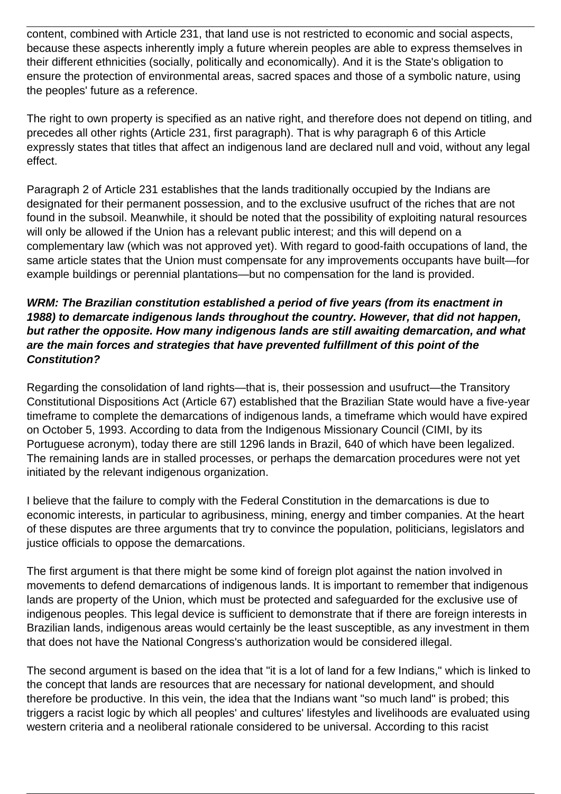content, combined with Article 231, that land use is not restricted to economic and social aspects, because these aspects inherently imply a future wherein peoples are able to express themselves in their different ethnicities (socially, politically and economically). And it is the State's obligation to ensure the protection of environmental areas, sacred spaces and those of a symbolic nature, using the peoples' future as a reference.

The right to own property is specified as an native right, and therefore does not depend on titling, and precedes all other rights (Article 231, first paragraph). That is why paragraph 6 of this Article expressly states that titles that affect an indigenous land are declared null and void, without any legal effect.

Paragraph 2 of Article 231 establishes that the lands traditionally occupied by the Indians are designated for their permanent possession, and to the exclusive usufruct of the riches that are not found in the subsoil. Meanwhile, it should be noted that the possibility of exploiting natural resources will only be allowed if the Union has a relevant public interest; and this will depend on a complementary law (which was not approved yet). With regard to good-faith occupations of land, the same article states that the Union must compensate for any improvements occupants have built—for example buildings or perennial plantations—but no compensation for the land is provided.

## **WRM: The Brazilian constitution established a period of five years (from its enactment in 1988) to demarcate indigenous lands throughout the country. However, that did not happen, but rather the opposite. How many indigenous lands are still awaiting demarcation, and what are the main forces and strategies that have prevented fulfillment of this point of the Constitution?**

Regarding the consolidation of land rights—that is, their possession and usufruct—the Transitory Constitutional Dispositions Act (Article 67) established that the Brazilian State would have a five-year timeframe to complete the demarcations of indigenous lands, a timeframe which would have expired on October 5, 1993. According to data from the Indigenous Missionary Council (CIMI, by its Portuguese acronym), today there are still 1296 lands in Brazil, 640 of which have been legalized. The remaining lands are in stalled processes, or perhaps the demarcation procedures were not yet initiated by the relevant indigenous organization.

I believe that the failure to comply with the Federal Constitution in the demarcations is due to economic interests, in particular to agribusiness, mining, energy and timber companies. At the heart of these disputes are three arguments that try to convince the population, politicians, legislators and justice officials to oppose the demarcations.

The first argument is that there might be some kind of foreign plot against the nation involved in movements to defend demarcations of indigenous lands. It is important to remember that indigenous lands are property of the Union, which must be protected and safeguarded for the exclusive use of indigenous peoples. This legal device is sufficient to demonstrate that if there are foreign interests in Brazilian lands, indigenous areas would certainly be the least susceptible, as any investment in them that does not have the National Congress's authorization would be considered illegal.

The second argument is based on the idea that "it is a lot of land for a few Indians," which is linked to the concept that lands are resources that are necessary for national development, and should therefore be productive. In this vein, the idea that the Indians want "so much land" is probed; this triggers a racist logic by which all peoples' and cultures' lifestyles and livelihoods are evaluated using western criteria and a neoliberal rationale considered to be universal. According to this racist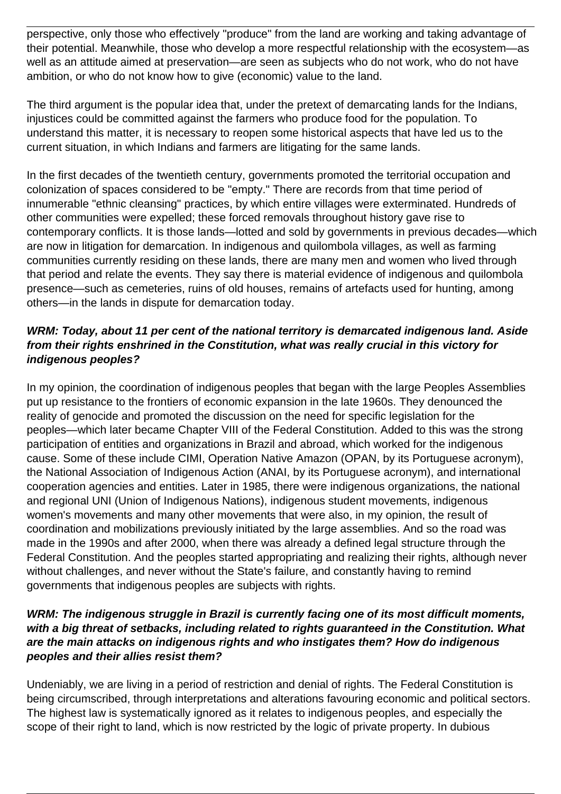perspective, only those who effectively "produce" from the land are working and taking advantage of their potential. Meanwhile, those who develop a more respectful relationship with the ecosystem—as well as an attitude aimed at preservation—are seen as subjects who do not work, who do not have ambition, or who do not know how to give (economic) value to the land.

The third argument is the popular idea that, under the pretext of demarcating lands for the Indians, injustices could be committed against the farmers who produce food for the population. To understand this matter, it is necessary to reopen some historical aspects that have led us to the current situation, in which Indians and farmers are litigating for the same lands.

In the first decades of the twentieth century, governments promoted the territorial occupation and colonization of spaces considered to be "empty." There are records from that time period of innumerable "ethnic cleansing" practices, by which entire villages were exterminated. Hundreds of other communities were expelled; these forced removals throughout history gave rise to contemporary conflicts. It is those lands—lotted and sold by governments in previous decades—which are now in litigation for demarcation. In indigenous and quilombola villages, as well as farming communities currently residing on these lands, there are many men and women who lived through that period and relate the events. They say there is material evidence of indigenous and quilombola presence—such as cemeteries, ruins of old houses, remains of artefacts used for hunting, among others—in the lands in dispute for demarcation today.

## **WRM: Today, about 11 per cent of the national territory is demarcated indigenous land. Aside from their rights enshrined in the Constitution, what was really crucial in this victory for indigenous peoples?**

In my opinion, the coordination of indigenous peoples that began with the large Peoples Assemblies put up resistance to the frontiers of economic expansion in the late 1960s. They denounced the reality of genocide and promoted the discussion on the need for specific legislation for the peoples—which later became Chapter VIII of the Federal Constitution. Added to this was the strong participation of entities and organizations in Brazil and abroad, which worked for the indigenous cause. Some of these include CIMI, Operation Native Amazon (OPAN, by its Portuguese acronym), the National Association of Indigenous Action (ANAI, by its Portuguese acronym), and international cooperation agencies and entities. Later in 1985, there were indigenous organizations, the national and regional UNI (Union of Indigenous Nations), indigenous student movements, indigenous women's movements and many other movements that were also, in my opinion, the result of coordination and mobilizations previously initiated by the large assemblies. And so the road was made in the 1990s and after 2000, when there was already a defined legal structure through the Federal Constitution. And the peoples started appropriating and realizing their rights, although never without challenges, and never without the State's failure, and constantly having to remind governments that indigenous peoples are subjects with rights.

#### **WRM: The indigenous struggle in Brazil is currently facing one of its most difficult moments, with a big threat of setbacks, including related to rights guaranteed in the Constitution. What are the main attacks on indigenous rights and who instigates them? How do indigenous peoples and their allies resist them?**

Undeniably, we are living in a period of restriction and denial of rights. The Federal Constitution is being circumscribed, through interpretations and alterations favouring economic and political sectors. The highest law is systematically ignored as it relates to indigenous peoples, and especially the scope of their right to land, which is now restricted by the logic of private property. In dubious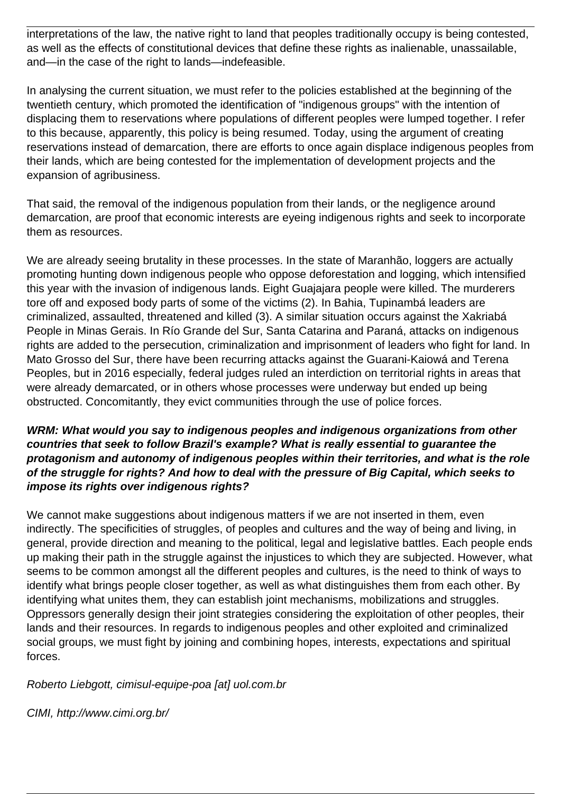interpretations of the law, the native right to land that peoples traditionally occupy is being contested, as well as the effects of constitutional devices that define these rights as inalienable, unassailable, and—in the case of the right to lands—indefeasible.

In analysing the current situation, we must refer to the policies established at the beginning of the twentieth century, which promoted the identification of "indigenous groups" with the intention of displacing them to reservations where populations of different peoples were lumped together. I refer to this because, apparently, this policy is being resumed. Today, using the argument of creating reservations instead of demarcation, there are efforts to once again displace indigenous peoples from their lands, which are being contested for the implementation of development projects and the expansion of agribusiness.

That said, the removal of the indigenous population from their lands, or the negligence around demarcation, are proof that economic interests are eyeing indigenous rights and seek to incorporate them as resources.

We are already seeing brutality in these processes. In the state of Maranhão, loggers are actually promoting hunting down indigenous people who oppose deforestation and logging, which intensified this year with the invasion of indigenous lands. Eight Guajajara people were killed. The murderers tore off and exposed body parts of some of the victims (2). In Bahia, Tupinambá leaders are criminalized, assaulted, threatened and killed (3). A similar situation occurs against the Xakriabá People in Minas Gerais. In Río Grande del Sur, Santa Catarina and Paraná, attacks on indigenous rights are added to the persecution, criminalization and imprisonment of leaders who fight for land. In Mato Grosso del Sur, there have been recurring attacks against the Guarani-Kaiowá and Terena Peoples, but in 2016 especially, federal judges ruled an interdiction on territorial rights in areas that were already demarcated, or in others whose processes were underway but ended up being obstructed. Concomitantly, they evict communities through the use of police forces.

## **WRM: What would you say to indigenous peoples and indigenous organizations from other countries that seek to follow Brazil's example? What is really essential to guarantee the protagonism and autonomy of indigenous peoples within their territories, and what is the role of the struggle for rights? And how to deal with the pressure of Big Capital, which seeks to impose its rights over indigenous rights?**

We cannot make suggestions about indigenous matters if we are not inserted in them, even indirectly. The specificities of struggles, of peoples and cultures and the way of being and living, in general, provide direction and meaning to the political, legal and legislative battles. Each people ends up making their path in the struggle against the injustices to which they are subjected. However, what seems to be common amongst all the different peoples and cultures, is the need to think of ways to identify what brings people closer together, as well as what distinguishes them from each other. By identifying what unites them, they can establish joint mechanisms, mobilizations and struggles. Oppressors generally design their joint strategies considering the exploitation of other peoples, their lands and their resources. In regards to indigenous peoples and other exploited and criminalized social groups, we must fight by joining and combining hopes, interests, expectations and spiritual forces.

Roberto Liebgott, cimisul-equipe-poa [at] uol.com.br

CIMI, http://www.cimi.org.br/